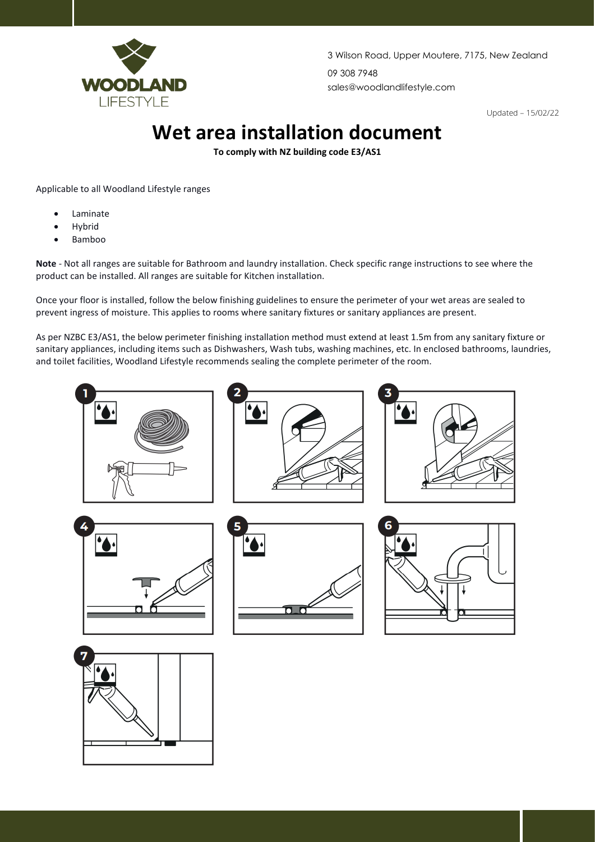

3 Wilson Road, Upper Moutere, 7175, New Zealand 09 308 7948 sales@woodlandlifestyle.com

Updated – 15/02/22

## **Wet area installation document**

**To comply with NZ building code E3/AS1** 

Applicable to all Woodland Lifestyle ranges

- **Laminate**
- **Hybrid**
- Bamboo

**Note** - Not all ranges are suitable for Bathroom and laundry installation. Check specific range instructions to see where the product can be installed. All ranges are suitable for Kitchen installation.

Once your floor is installed, follow the below finishing guidelines to ensure the perimeter of your wet areas are sealed to prevent ingress of moisture. This applies to rooms where sanitary fixtures or sanitary appliances are present.

As per NZBC E3/AS1, the below perimeter finishing installation method must extend at least 1.5m from any sanitary fixture or sanitary appliances, including items such as Dishwashers, Wash tubs, washing machines, etc. In enclosed bathrooms, laundries, and toilet facilities, Woodland Lifestyle recommends sealing the complete perimeter of the room.